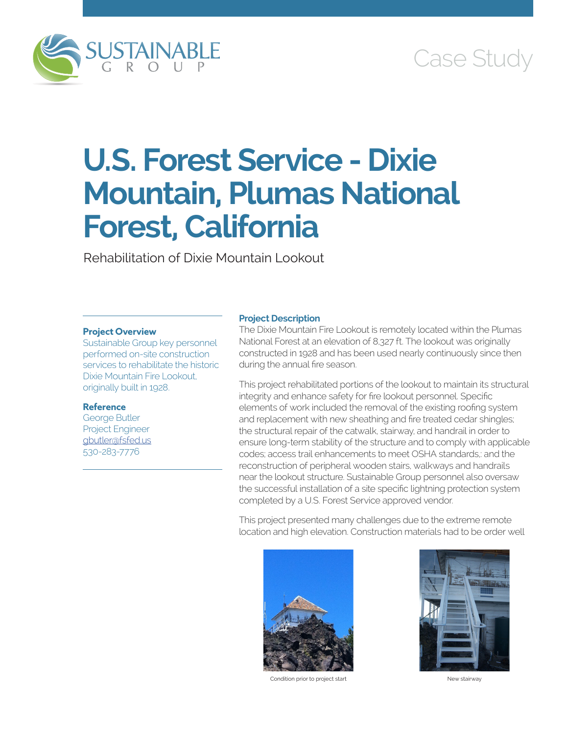

# Case Study

# **U.S. Forest Service - Dixie Mountain, Plumas National Forest, California**

Rehabilitation of Dixie Mountain Lookout

### **Project Overview**

Sustainable Group key personnel performed on-site construction services to rehabilitate the historic Dixie Mountain Fire Lookout, originally built in 1928.

### **Reference**

George Butler Project Engineer [gbutler@fsfed.us](mailto:gbutler@fsfed.us) 530-283-7776

#### **Project Description**

The Dixie Mountain Fire Lookout is remotely located within the Plumas National Forest at an elevation of 8,327 ft. The lookout was originally constructed in 1928 and has been used nearly continuously since then during the annual fire season.

This project rehabilitated portions of the lookout to maintain its structural integrity and enhance safety for fire lookout personnel. Specific elements of work included the removal of the existing roofing system and replacement with new sheathing and fire treated cedar shingles; the structural repair of the catwalk, stairway, and handrail in order to ensure long-term stability of the structure and to comply with applicable codes; access trail enhancements to meet OSHA standards,: and the reconstruction of peripheral wooden stairs, walkways and handrails near the lookout structure. Sustainable Group personnel also oversaw the successful installation of a site specific lightning protection system completed by a U.S. Forest Service approved vendor.

This project presented many challenges due to the extreme remote location and high elevation. Construction materials had to be order well



Condition prior to project start New stairway